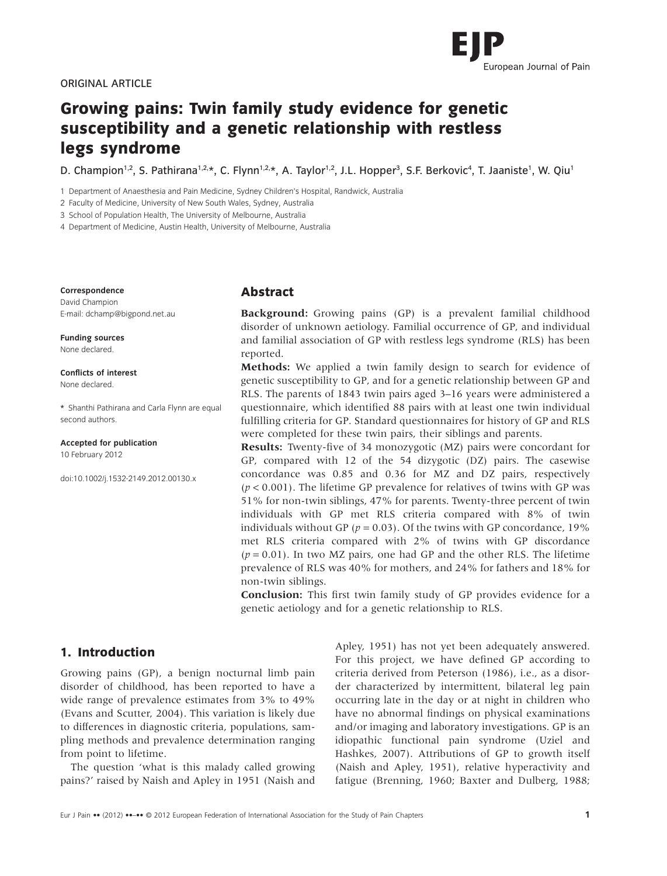

# **Growing pains: Twin family study evidence for genetic susceptibility and a genetic relationship with restless legs syndrome**

D. Champion<sup>1,2</sup>, S. Pathirana<sup>1,2,</sup>\*, C. Flynn<sup>1,2,</sup>\*, A. Taylor<sup>1,2</sup>, J.L. Hopper<sup>3</sup>, S.F. Berkovic<sup>4</sup>, T. Jaaniste<sup>1</sup>, W. Qiu<sup>1</sup>

1 Department of Anaesthesia and Pain Medicine, Sydney Children's Hospital, Randwick, Australia

2 Faculty of Medicine, University of New South Wales, Sydney, Australia

3 School of Population Health, The University of Melbourne, Australia

4 Department of Medicine, Austin Health, University of Melbourne, Australia

**Correspondence**

David Champion E-mail: dchamp@bigpond.net.au

**Funding sources** None declared.

**Conflicts of interest** None declared.

\* Shanthi Pathirana and Carla Flynn are equal second authors.

**Accepted for publication**

10 February 2012

doi:10.1002/j.1532-2149.2012.00130.x

## **Abstract**

**Background:** Growing pains (GP) is a prevalent familial childhood disorder of unknown aetiology. Familial occurrence of GP, and individual and familial association of GP with restless legs syndrome (RLS) has been reported.

**Methods:** We applied a twin family design to search for evidence of genetic susceptibility to GP, and for a genetic relationship between GP and RLS. The parents of 1843 twin pairs aged 3–16 years were administered a questionnaire, which identified 88 pairs with at least one twin individual fulfilling criteria for GP. Standard questionnaires for history of GP and RLS were completed for these twin pairs, their siblings and parents.

**Results:** Twenty-five of 34 monozygotic (MZ) pairs were concordant for GP, compared with 12 of the 54 dizygotic (DZ) pairs. The casewise concordance was 0.85 and 0.36 for MZ and DZ pairs, respectively  $(p < 0.001)$ . The lifetime GP prevalence for relatives of twins with GP was 51% for non-twin siblings, 47% for parents. Twenty-three percent of twin individuals with GP met RLS criteria compared with 8% of twin individuals without GP ( $p = 0.03$ ). Of the twins with GP concordance, 19% met RLS criteria compared with 2% of twins with GP discordance  $(p = 0.01)$ . In two MZ pairs, one had GP and the other RLS. The lifetime prevalence of RLS was 40% for mothers, and 24% for fathers and 18% for non-twin siblings.

**Conclusion:** This first twin family study of GP provides evidence for a genetic aetiology and for a genetic relationship to RLS.

# **1. Introduction**

Growing pains (GP), a benign nocturnal limb pain disorder of childhood, has been reported to have a wide range of prevalence estimates from 3% to 49% (Evans and Scutter, 2004). This variation is likely due to differences in diagnostic criteria, populations, sampling methods and prevalence determination ranging from point to lifetime.

The question 'what is this malady called growing pains?' raised by Naish and Apley in 1951 (Naish and Apley, 1951) has not yet been adequately answered. For this project, we have defined GP according to criteria derived from Peterson (1986), i.e., as a disorder characterized by intermittent, bilateral leg pain occurring late in the day or at night in children who have no abnormal findings on physical examinations and/or imaging and laboratory investigations. GP is an idiopathic functional pain syndrome (Uziel and Hashkes, 2007). Attributions of GP to growth itself (Naish and Apley, 1951), relative hyperactivity and fatigue (Brenning, 1960; Baxter and Dulberg, 1988;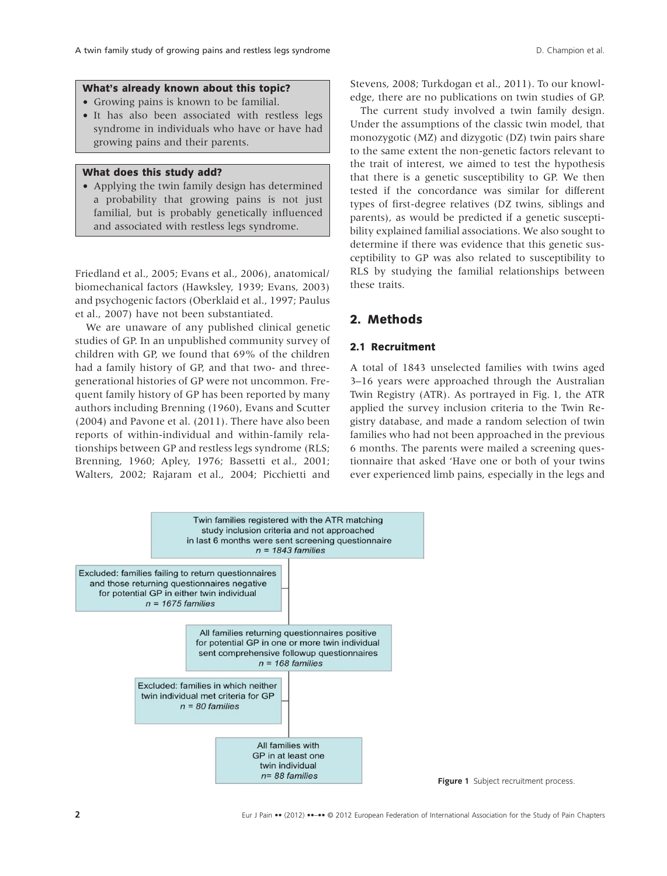#### **What's already known about this topic?**

- Growing pains is known to be familial.
- It has also been associated with restless legs syndrome in individuals who have or have had growing pains and their parents.

#### **What does this study add?**

• Applying the twin family design has determined a probability that growing pains is not just familial, but is probably genetically influenced and associated with restless legs syndrome.

Friedland et al., 2005; Evans et al., 2006), anatomical/ biomechanical factors (Hawksley, 1939; Evans, 2003) and psychogenic factors (Oberklaid et al., 1997; Paulus et al., 2007) have not been substantiated.

We are unaware of any published clinical genetic studies of GP. In an unpublished community survey of children with GP, we found that 69% of the children had a family history of GP, and that two- and threegenerational histories of GP were not uncommon. Frequent family history of GP has been reported by many authors including Brenning (1960), Evans and Scutter (2004) and Pavone et al. (2011). There have also been reports of within-individual and within-family relationships between GP and restless legs syndrome (RLS; Brenning, 1960; Apley, 1976; Bassetti et al., 2001; Walters, 2002; Rajaram et al., 2004; Picchietti and

Stevens, 2008; Turkdogan et al., 2011). To our knowledge, there are no publications on twin studies of GP.

The current study involved a twin family design. Under the assumptions of the classic twin model, that monozygotic (MZ) and dizygotic (DZ) twin pairs share to the same extent the non-genetic factors relevant to the trait of interest, we aimed to test the hypothesis that there is a genetic susceptibility to GP. We then tested if the concordance was similar for different types of first-degree relatives (DZ twins, siblings and parents), as would be predicted if a genetic susceptibility explained familial associations. We also sought to determine if there was evidence that this genetic susceptibility to GP was also related to susceptibility to RLS by studying the familial relationships between these traits.

# **2. Methods**

## **2.1 Recruitment**

A total of 1843 unselected families with twins aged 3–16 years were approached through the Australian Twin Registry (ATR). As portrayed in Fig. 1, the ATR applied the survey inclusion criteria to the Twin Registry database, and made a random selection of twin families who had not been approached in the previous 6 months. The parents were mailed a screening questionnaire that asked 'Have one or both of your twins ever experienced limb pains, especially in the legs and



**Figure 1** Subject recruitment process.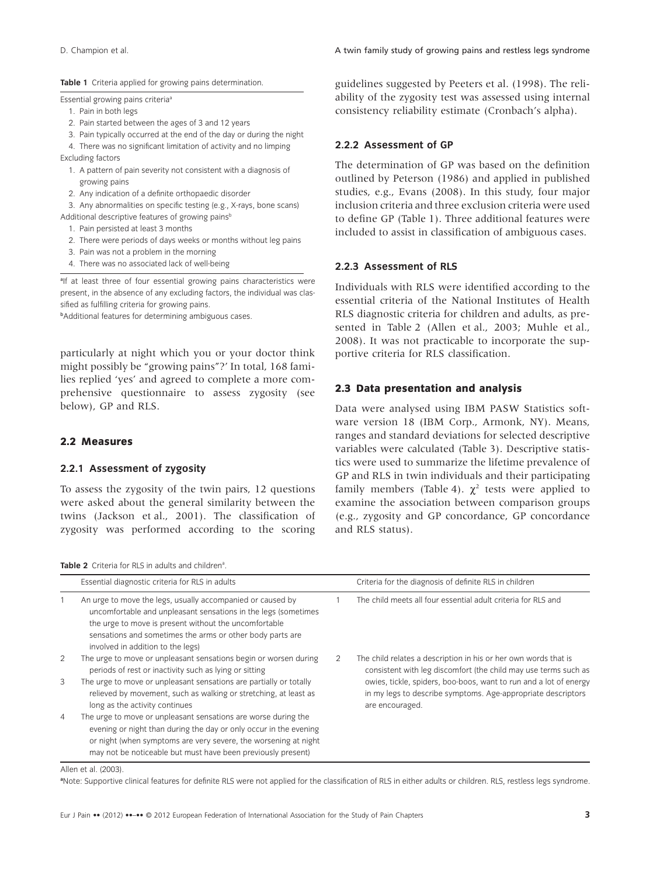**Table 1** Criteria applied for growing pains determination.

Essential growing pains criteria<sup>a</sup>

- 1. Pain in both legs
- 2. Pain started between the ages of 3 and 12 years
- 3. Pain typically occurred at the end of the day or during the night

4. There was no significant limitation of activity and no limping Excluding factors

- 1. A pattern of pain severity not consistent with a diagnosis of growing pains
- 2. Any indication of a definite orthopaedic disorder
- 3. Any abnormalities on specific testing (e.g., X-rays, bone scans)
- Additional descriptive features of growing pains<sup>b</sup>
	- 1. Pain persisted at least 3 months
	- 2. There were periods of days weeks or months without leg pains
	- 3. Pain was not a problem in the morning
	- 4. There was no associated lack of well-being

<sup>a</sup>lf at least three of four essential growing pains characteristics were present, in the absence of any excluding factors, the individual was classified as fulfilling criteria for growing pains.

b Additional features for determining ambiguous cases.

particularly at night which you or your doctor think might possibly be "growing pains"?' In total, 168 families replied 'yes' and agreed to complete a more comprehensive questionnaire to assess zygosity (see below), GP and RLS.

#### **2.2 Measures**

#### **2.2.1 Assessment of zygosity**

To assess the zygosity of the twin pairs, 12 questions were asked about the general similarity between the twins (Jackson et al., 2001). The classification of zygosity was performed according to the scoring guidelines suggested by Peeters et al. (1998). The reliability of the zygosity test was assessed using internal consistency reliability estimate (Cronbach's alpha).

### **2.2.2 Assessment of GP**

The determination of GP was based on the definition outlined by Peterson (1986) and applied in published studies, e.g., Evans (2008). In this study, four major inclusion criteria and three exclusion criteria were used to define GP (Table 1). Three additional features were included to assist in classification of ambiguous cases.

#### **2.2.3 Assessment of RLS**

Individuals with RLS were identified according to the essential criteria of the National Institutes of Health RLS diagnostic criteria for children and adults, as presented in Table 2 (Allen et al., 2003; Muhle et al., 2008). It was not practicable to incorporate the supportive criteria for RLS classification.

#### **2.3 Data presentation and analysis**

Data were analysed using IBM PASW Statistics software version 18 (IBM Corp., Armonk, NY). Means, ranges and standard deviations for selected descriptive variables were calculated (Table 3). Descriptive statistics were used to summarize the lifetime prevalence of GP and RLS in twin individuals and their participating family members (Table 4).  $\chi^2$  tests were applied to examine the association between comparison groups (e.g., zygosity and GP concordance, GP concordance and RLS status).

Table 2 Criteria for RLS in adults and children<sup>a</sup>.

|        | Essential diagnostic criteria for RLS in adults                                                                                                                                                                                                                                                        |   | Criteria for the diagnosis of definite RLS in children                                                                                                                                                                                                                                     |
|--------|--------------------------------------------------------------------------------------------------------------------------------------------------------------------------------------------------------------------------------------------------------------------------------------------------------|---|--------------------------------------------------------------------------------------------------------------------------------------------------------------------------------------------------------------------------------------------------------------------------------------------|
|        | An urge to move the legs, usually accompanied or caused by<br>uncomfortable and unpleasant sensations in the legs (sometimes<br>the urge to move is present without the uncomfortable<br>sensations and sometimes the arms or other body parts are<br>involved in addition to the legs)                |   | The child meets all four essential adult criteria for RLS and                                                                                                                                                                                                                              |
| 2<br>3 | The urge to move or unpleasant sensations begin or worsen during<br>periods of rest or inactivity such as lying or sitting<br>The urge to move or unpleasant sensations are partially or totally<br>relieved by movement, such as walking or stretching, at least as<br>long as the activity continues | 2 | The child relates a description in his or her own words that is<br>consistent with leg discomfort (the child may use terms such as<br>owies, tickle, spiders, boo-boos, want to run and a lot of energy<br>in my legs to describe symptoms. Age-appropriate descriptors<br>are encouraged. |
| 4      | The urge to move or unpleasant sensations are worse during the<br>evening or night than during the day or only occur in the evening<br>or night (when symptoms are very severe, the worsening at night<br>may not be noticeable but must have been previously present)                                 |   |                                                                                                                                                                                                                                                                                            |

Allen et al. (2003)

**a** Note: Supportive clinical features for definite RLS were not applied for the classification of RLS in either adults or children. RLS, restless legs syndrome.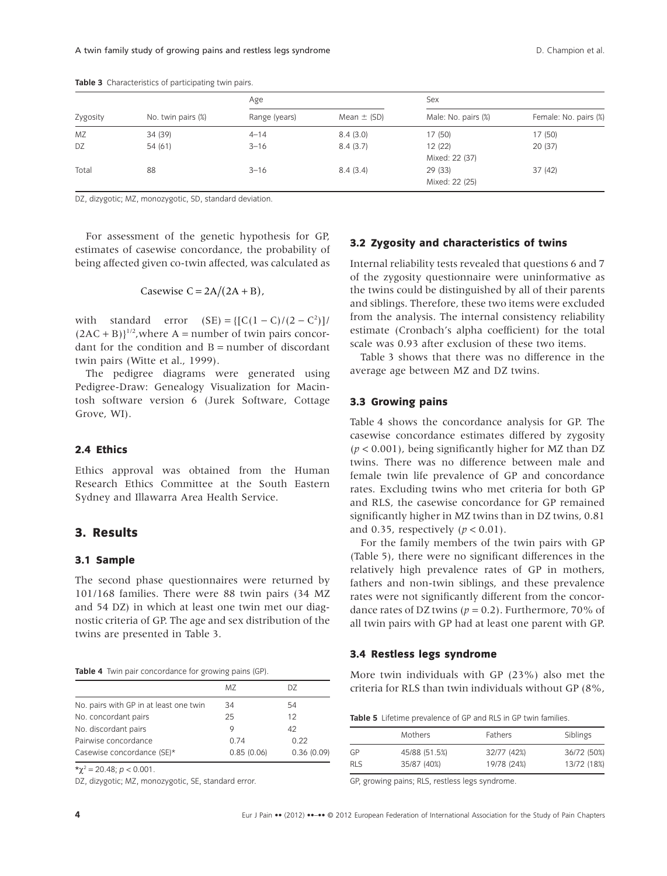|          |                    | Age           |                 | Sex                 |                       |  |
|----------|--------------------|---------------|-----------------|---------------------|-----------------------|--|
| Zygosity | No. twin pairs (%) | Range (years) | Mean $\pm$ (SD) | Male: No. pairs (%) | Female: No. pairs (%) |  |
| MZ       | 34 (39)            | $4 - 14$      | 8.4(3.0)        | 17(50)              | 17 (50)               |  |
| DZ       | 54 (61)            | $3 - 16$      | 8.4(3.7)        | 12(22)              | 20(37)                |  |
|          |                    |               |                 | Mixed: 22 (37)      |                       |  |
| Total    | 88                 | $3 - 16$      | 8.4(3.4)        | 29(33)              | 37(42)                |  |
|          |                    |               |                 | Mixed: 22 (25)      |                       |  |

**Table 3** Characteristics of participating twin pairs.

DZ, dizygotic; MZ, monozygotic, SD, standard deviation.

For assessment of the genetic hypothesis for GP, estimates of casewise concordance, the probability of being affected given co-twin affected, was calculated as

$$
Casewise C = 2A/(2A + B),
$$

with standard error  $(SE) = \{ [C(1 - C)/(2 - C^2)] \}$  $(2AC + B)$ <sup>1/2</sup>, where A = number of twin pairs concordant for the condition and  $B =$  number of discordant twin pairs (Witte et al., 1999).

The pedigree diagrams were generated using Pedigree-Draw: Genealogy Visualization for Macintosh software version 6 (Jurek Software, Cottage Grove, WI).

### **2.4 Ethics**

Ethics approval was obtained from the Human Research Ethics Committee at the South Eastern Sydney and Illawarra Area Health Service.

## **3. Results**

## **3.1 Sample**

The second phase questionnaires were returned by 101/168 families. There were 88 twin pairs (34 MZ and 54 DZ) in which at least one twin met our diagnostic criteria of GP. The age and sex distribution of the twins are presented in Table 3.

|  |  |  | Table 4 Twin pair concordance for growing pains (GP). |  |  |  |  |
|--|--|--|-------------------------------------------------------|--|--|--|--|
|--|--|--|-------------------------------------------------------|--|--|--|--|

|                                        | MZ         | DZ.        |
|----------------------------------------|------------|------------|
| No. pairs with GP in at least one twin | 34         | 54         |
| No. concordant pairs                   | 25         | 12         |
| No. discordant pairs                   | 9          | 42         |
| Pairwise concordance                   | 0.74       | 0.22       |
| Casewise concordance (SE)*             | 0.85(0.06) | 0.36(0.09) |
|                                        |            |            |

 $\star \chi^2$  = 20.48; *p* < 0.001.

DZ, dizygotic; MZ, monozygotic, SE, standard error.

# **3.2 Zygosity and characteristics of twins**

Internal reliability tests revealed that questions 6 and 7 of the zygosity questionnaire were uninformative as the twins could be distinguished by all of their parents and siblings. Therefore, these two items were excluded from the analysis. The internal consistency reliability estimate (Cronbach's alpha coefficient) for the total scale was 0.93 after exclusion of these two items.

Table 3 shows that there was no difference in the average age between MZ and DZ twins.

#### **3.3 Growing pains**

Table 4 shows the concordance analysis for GP. The casewise concordance estimates differed by zygosity (*p* < 0.001), being significantly higher for MZ than DZ twins. There was no difference between male and female twin life prevalence of GP and concordance rates. Excluding twins who met criteria for both GP and RLS, the casewise concordance for GP remained significantly higher in MZ twins than in DZ twins, 0.81 and 0.35, respectively  $(p < 0.01)$ .

For the family members of the twin pairs with GP (Table 5), there were no significant differences in the relatively high prevalence rates of GP in mothers, fathers and non-twin siblings, and these prevalence rates were not significantly different from the concordance rates of DZ twins ( $p = 0.2$ ). Furthermore, 70% of all twin pairs with GP had at least one parent with GP.

#### **3.4 Restless legs syndrome**

More twin individuals with GP (23%) also met the criteria for RLS than twin individuals without GP (8%,

| Table 5 Lifetime prevalence of GP and RLS in GP twin families. |  |
|----------------------------------------------------------------|--|
|----------------------------------------------------------------|--|

|            | Mothers       | <b>Fathers</b> | Siblings    |
|------------|---------------|----------------|-------------|
| GP         | 45/88 (51.5%) | 32/77 (42%)    | 36/72 (50%) |
| <b>RLS</b> | 35/87 (40%)   | 19/78 (24%)    | 13/72 (18%) |

GP, growing pains; RLS, restless legs syndrome.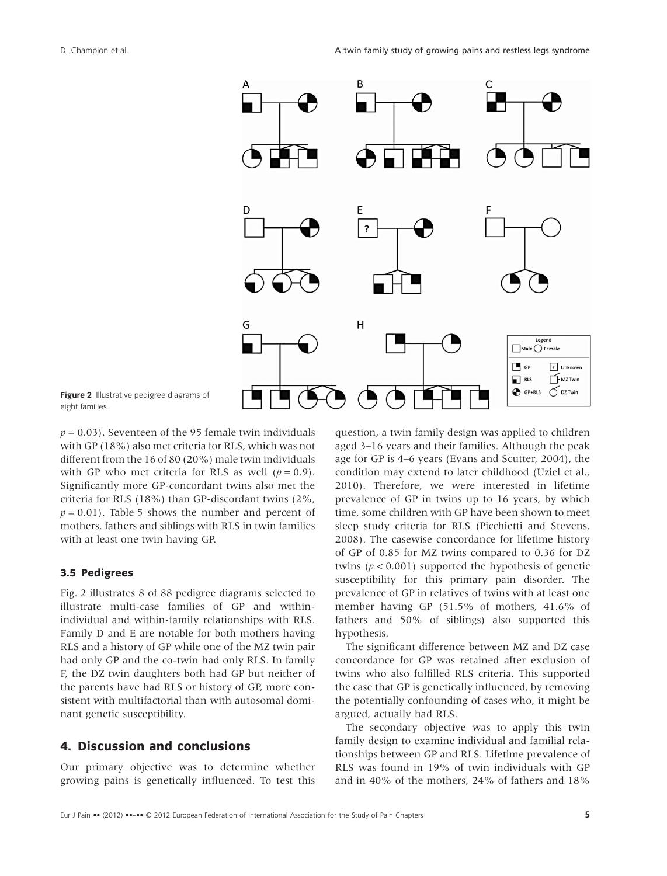

**Figure 2** Illustrative pedigree diagrams of eight families.

 $p = 0.03$ ). Seventeen of the 95 female twin individuals with GP (18%) also met criteria for RLS, which was not different from the 16 of 80 (20%) male twin individuals with GP who met criteria for RLS as well  $(p = 0.9)$ . Significantly more GP-concordant twins also met the criteria for RLS (18%) than GP-discordant twins (2%,  $p = 0.01$ ). Table 5 shows the number and percent of mothers, fathers and siblings with RLS in twin families with at least one twin having GP.

#### **3.5 Pedigrees**

Fig. 2 illustrates 8 of 88 pedigree diagrams selected to illustrate multi-case families of GP and withinindividual and within-family relationships with RLS. Family D and E are notable for both mothers having RLS and a history of GP while one of the MZ twin pair had only GP and the co-twin had only RLS. In family F, the DZ twin daughters both had GP but neither of the parents have had RLS or history of GP, more consistent with multifactorial than with autosomal dominant genetic susceptibility.

## **4. Discussion and conclusions**

Our primary objective was to determine whether growing pains is genetically influenced. To test this

question, a twin family design was applied to children aged 3–16 years and their families. Although the peak age for GP is 4–6 years (Evans and Scutter, 2004), the condition may extend to later childhood (Uziel et al., 2010). Therefore, we were interested in lifetime prevalence of GP in twins up to 16 years, by which time, some children with GP have been shown to meet sleep study criteria for RLS (Picchietti and Stevens, 2008). The casewise concordance for lifetime history of GP of 0.85 for MZ twins compared to 0.36 for DZ twins ( $p < 0.001$ ) supported the hypothesis of genetic susceptibility for this primary pain disorder. The prevalence of GP in relatives of twins with at least one member having GP (51.5% of mothers, 41.6% of fathers and 50% of siblings) also supported this hypothesis.

The significant difference between MZ and DZ case concordance for GP was retained after exclusion of twins who also fulfilled RLS criteria. This supported the case that GP is genetically influenced, by removing the potentially confounding of cases who, it might be argued, actually had RLS.

The secondary objective was to apply this twin family design to examine individual and familial relationships between GP and RLS. Lifetime prevalence of RLS was found in 19% of twin individuals with GP and in 40% of the mothers, 24% of fathers and 18%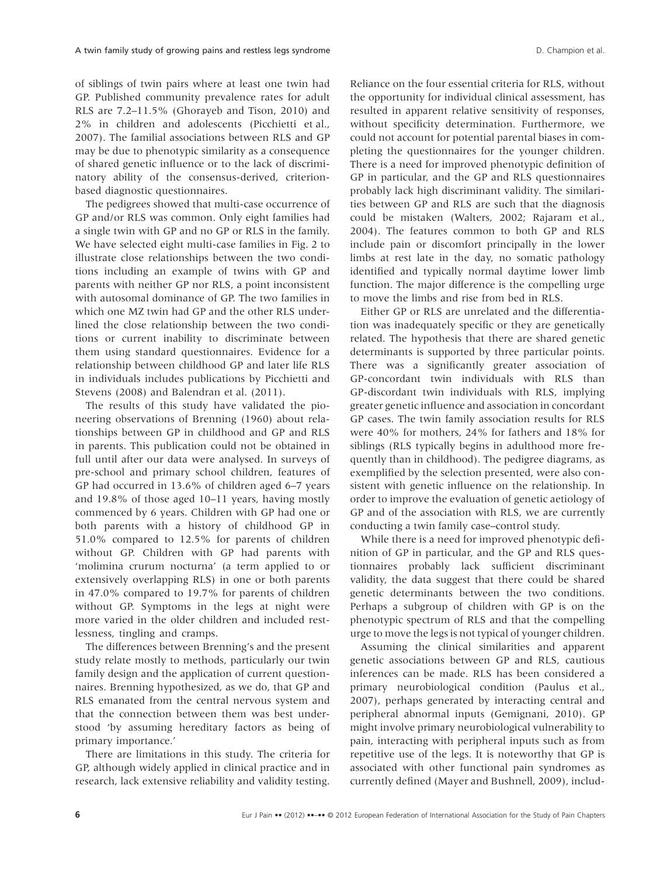of siblings of twin pairs where at least one twin had GP. Published community prevalence rates for adult RLS are 7.2–11.5% (Ghorayeb and Tison, 2010) and 2% in children and adolescents (Picchietti et al., 2007). The familial associations between RLS and GP may be due to phenotypic similarity as a consequence of shared genetic influence or to the lack of discriminatory ability of the consensus-derived, criterionbased diagnostic questionnaires.

The pedigrees showed that multi-case occurrence of GP and/or RLS was common. Only eight families had a single twin with GP and no GP or RLS in the family. We have selected eight multi-case families in Fig. 2 to illustrate close relationships between the two conditions including an example of twins with GP and parents with neither GP nor RLS, a point inconsistent with autosomal dominance of GP. The two families in which one MZ twin had GP and the other RLS underlined the close relationship between the two conditions or current inability to discriminate between them using standard questionnaires. Evidence for a relationship between childhood GP and later life RLS in individuals includes publications by Picchietti and Stevens (2008) and Balendran et al. (2011).

The results of this study have validated the pioneering observations of Brenning (1960) about relationships between GP in childhood and GP and RLS in parents. This publication could not be obtained in full until after our data were analysed. In surveys of pre-school and primary school children, features of GP had occurred in 13.6% of children aged 6–7 years and 19.8% of those aged 10–11 years, having mostly commenced by 6 years. Children with GP had one or both parents with a history of childhood GP in 51.0% compared to 12.5% for parents of children without GP. Children with GP had parents with 'molimina crurum nocturna' (a term applied to or extensively overlapping RLS) in one or both parents in 47.0% compared to 19.7% for parents of children without GP. Symptoms in the legs at night were more varied in the older children and included restlessness, tingling and cramps.

The differences between Brenning's and the present study relate mostly to methods, particularly our twin family design and the application of current questionnaires. Brenning hypothesized, as we do, that GP and RLS emanated from the central nervous system and that the connection between them was best understood 'by assuming hereditary factors as being of primary importance.'

There are limitations in this study. The criteria for GP, although widely applied in clinical practice and in research, lack extensive reliability and validity testing.

Reliance on the four essential criteria for RLS, without the opportunity for individual clinical assessment, has resulted in apparent relative sensitivity of responses, without specificity determination. Furthermore, we could not account for potential parental biases in completing the questionnaires for the younger children. There is a need for improved phenotypic definition of GP in particular, and the GP and RLS questionnaires probably lack high discriminant validity. The similarities between GP and RLS are such that the diagnosis could be mistaken (Walters, 2002; Rajaram et al., 2004). The features common to both GP and RLS include pain or discomfort principally in the lower limbs at rest late in the day, no somatic pathology identified and typically normal daytime lower limb function. The major difference is the compelling urge to move the limbs and rise from bed in RLS.

Either GP or RLS are unrelated and the differentiation was inadequately specific or they are genetically related. The hypothesis that there are shared genetic determinants is supported by three particular points. There was a significantly greater association of GP-concordant twin individuals with RLS than GP-discordant twin individuals with RLS, implying greater genetic influence and association in concordant GP cases. The twin family association results for RLS were 40% for mothers, 24% for fathers and 18% for siblings (RLS typically begins in adulthood more frequently than in childhood). The pedigree diagrams, as exemplified by the selection presented, were also consistent with genetic influence on the relationship. In order to improve the evaluation of genetic aetiology of GP and of the association with RLS, we are currently conducting a twin family case–control study.

While there is a need for improved phenotypic definition of GP in particular, and the GP and RLS questionnaires probably lack sufficient discriminant validity, the data suggest that there could be shared genetic determinants between the two conditions. Perhaps a subgroup of children with GP is on the phenotypic spectrum of RLS and that the compelling urge to move the legs is not typical of younger children.

Assuming the clinical similarities and apparent genetic associations between GP and RLS, cautious inferences can be made. RLS has been considered a primary neurobiological condition (Paulus et al., 2007), perhaps generated by interacting central and peripheral abnormal inputs (Gemignani, 2010). GP might involve primary neurobiological vulnerability to pain, interacting with peripheral inputs such as from repetitive use of the legs. It is noteworthy that GP is associated with other functional pain syndromes as currently defined (Mayer and Bushnell, 2009), includ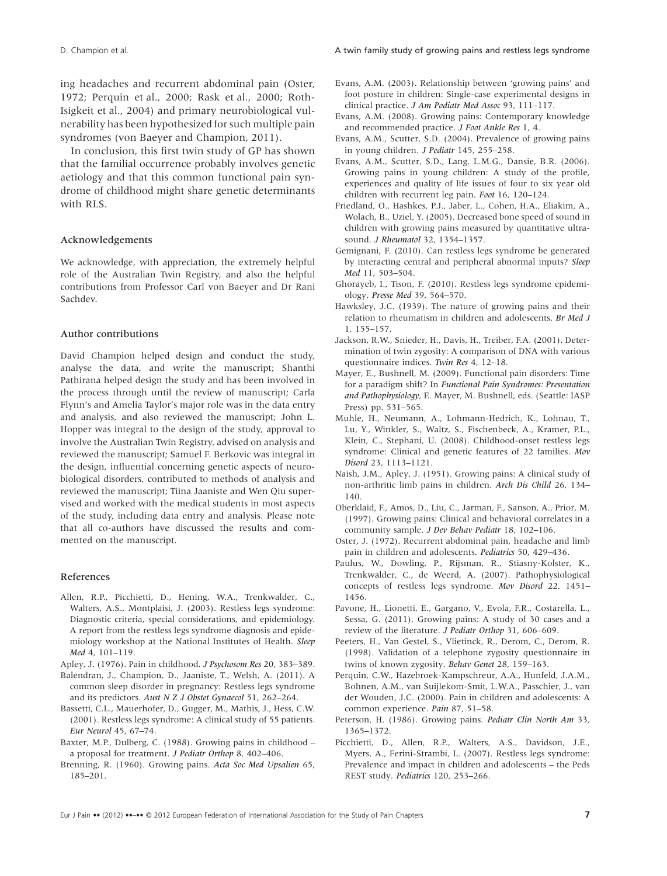ing headaches and recurrent abdominal pain (Oster, 1972; Perquin et al., 2000; Rask et al., 2000; Roth-Isigkeit et al., 2004) and primary neurobiological vulnerability has been hypothesized for such multiple pain syndromes (von Baeyer and Champion, 2011).

In conclusion, this first twin study of GP has shown that the familial occurrence probably involves genetic aetiology and that this common functional pain syndrome of childhood might share genetic determinants with RLS.

#### Acknowledgements

We acknowledge, with appreciation, the extremely helpful role of the Australian Twin Registry, and also the helpful contributions from Professor Carl von Baeyer and Dr Rani Sachdev.

#### Author contributions

David Champion helped design and conduct the study, analyse the data, and write the manuscript; Shanthi Pathirana helped design the study and has been involved in the process through until the review of manuscript; Carla Flynn's and Amelia Taylor's major role was in the data entry and analysis, and also reviewed the manuscript; John L. Hopper was integral to the design of the study, approval to involve the Australian Twin Registry, advised on analysis and reviewed the manuscript; Samuel F. Berkovic was integral in the design, influential concerning genetic aspects of neurobiological disorders, contributed to methods of analysis and reviewed the manuscript; Tiina Jaaniste and Wen Qiu supervised and worked with the medical students in most aspects of the study, including data entry and analysis. Please note that all co-authors have discussed the results and commented on the manuscript.

#### References

Allen, R.P., Picchietti, D., Hening, W.A., Trenkwalder, C., Walters, A.S., Montplaisi, J. (2003). Restless legs syndrome: Diagnostic criteria, special considerations, and epidemiology. A report from the restless legs syndrome diagnosis and epidemiology workshop at the National Institutes of Health. *Sleep Med* 4, 101–119.

Apley, J. (1976). Pain in childhood. *J Psychosom Res* 20, 383–389.

- Balendran, J., Champion, D., Jaaniste, T., Welsh, A. (2011). A common sleep disorder in pregnancy: Restless legs syndrome and its predictors. *Aust N Z J Obstet Gynaecol* 51, 262–264.
- Bassetti, C.L., Mauerhofer, D., Gugger, M., Mathis, J., Hess, C.W. (2001). Restless legs syndrome: A clinical study of 55 patients. *Eur Neurol* 45, 67–74.
- Baxter, M.P., Dulberg, C. (1988). Growing pains in childhood a proposal for treatment. *J Pediatr Orthop* 8, 402–406.
- Brenning, R. (1960). Growing pains. *Acta Soc Med Upsalien* 65, 185–201.
- Evans, A.M. (2003). Relationship between 'growing pains' and foot posture in children: Single-case experimental designs in clinical practice. *J Am Podiatr Med Assoc* 93, 111–117.
- Evans, A.M. (2008). Growing pains: Contemporary knowledge and recommended practice. *J Foot Ankle Res* 1, 4.
- Evans, A.M., Scutter, S.D. (2004). Prevalence of growing pains in young children. *J Pediatr* 145, 255–258.
- Evans, A.M., Scutter, S.D., Lang, L.M.G., Dansie, B.R. (2006). Growing pains in young children: A study of the profile, experiences and quality of life issues of four to six year old children with recurrent leg pain. *Foot* 16, 120–124.
- Friedland, O., Hashkes, P.J., Jaber, L., Cohen, H.A., Eliakim, A., Wolach, B., Uziel, Y. (2005). Decreased bone speed of sound in children with growing pains measured by quantitative ultrasound. *J Rheumatol* 32, 1354–1357.
- Gemignani, F. (2010). Can restless legs syndrome be generated by interacting central and peripheral abnormal inputs? *Sleep Med* 11, 503–504.
- Ghorayeb, I., Tison, F. (2010). Restless legs syndrome epidemiology. *Presse Med* 39, 564–570.
- Hawksley, J.C. (1939). The nature of growing pains and their relation to rheumatism in children and adolescents. *Br Med J* 1, 155–157.
- Jackson, R.W., Snieder, H., Davis, H., Treiber, F.A. (2001). Determination of twin zygosity: A comparison of DNA with various questionnaire indices. *Twin Res* 4, 12–18.
- Mayer, E., Bushnell, M. (2009). Functional pain disorders: Time for a paradigm shift? In *Functional Pain Syndromes: Presentation and Pathophysiology*, E. Mayer, M. Bushnell, eds. (Seattle: IASP Press) pp. 531–565.
- Muhle, H., Neumann, A., Lohmann-Hedrich, K., Lohnau, T., Lu, Y., Winkler, S., Waltz, S., Fischenbeck, A., Kramer, P.L., Klein, C., Stephani, U. (2008). Childhood-onset restless legs syndrome: Clinical and genetic features of 22 families. *Mov Disord* 23, 1113–1121.
- Naish, J.M., Apley, J. (1951). Growing pains: A clinical study of non-arthritic limb pains in children. *Arch Dis Child* 26, 134– 140.
- Oberklaid, F., Amos, D., Liu, C., Jarman, F., Sanson, A., Prior, M. (1997). Growing pains: Clinical and behavioral correlates in a community sample. *J Dev Behav Pediatr* 18, 102–106.
- Oster, J. (1972). Recurrent abdominal pain, headache and limb pain in children and adolescents. *Pediatrics* 50, 429–436.
- Paulus, W., Dowling, P., Rijsman, R., Stiasny-Kolster, K., Trenkwalder, C., de Weerd, A. (2007). Pathophysiological concepts of restless legs syndrome. *Mov Disord* 22, 1451– 1456.
- Pavone, H., Lionetti, E., Gargano, V., Evola, F.R., Costarella, L., Sessa, G. (2011). Growing pains: A study of 30 cases and a review of the literature. *J Pediatr Orthop* 31, 606–609.
- Peeters, H., Van Gestel, S., Vlietinck, R., Derom, C., Derom, R. (1998). Validation of a telephone zygosity questionnaire in twins of known zygosity. *Behav Genet* 28, 159–163.
- Perquin, C.W., Hazebroek-Kampschreur, A.A., Hunfeld, J.A.M., Bohnen, A.M., van Suijlekom-Smit, L.W.A., Passchier, J., van der Wouden, J.C. (2000). Pain in children and adolescents: A common experience. *Pain* 87, 51–58.
- Peterson, H. (1986). Growing pains. *Pediatr Clin North Am* 33, 1365–1372.
- Picchietti, D., Allen, R.P., Walters, A.S., Davidson, J.E., Myers, A., Ferini-Strambi, L. (2007). Restless legs syndrome: Prevalence and impact in children and adolescents – the Peds REST study. *Pediatrics* 120, 253–266.